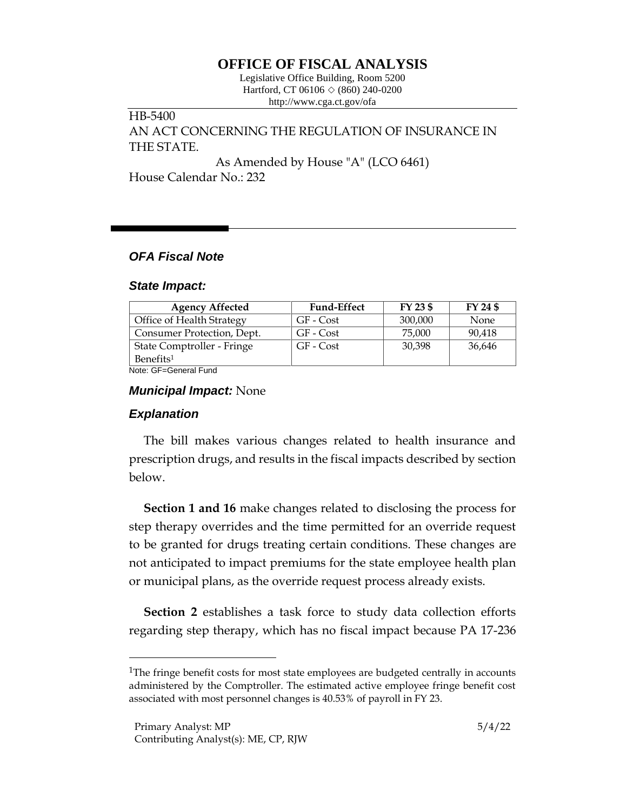# **OFFICE OF FISCAL ANALYSIS**

Legislative Office Building, Room 5200 Hartford, CT 06106  $\Diamond$  (860) 240-0200 http://www.cga.ct.gov/ofa

HB-5400 AN ACT CONCERNING THE REGULATION OF INSURANCE IN THE STATE.

As Amended by House "A" (LCO 6461) House Calendar No.: 232

## *OFA Fiscal Note*

#### *State Impact:*

| <b>Agency Affected</b>     | <b>Fund-Effect</b> | FY 23 \$ | FY 24 \$ |
|----------------------------|--------------------|----------|----------|
| Office of Health Strategy  | GF - Cost          | 300,000  | None     |
| Consumer Protection, Dept. | GF - Cost          | 75,000   | 90,418   |
| State Comptroller - Fringe | GF - Cost          | 30,398   | 36,646   |
| Benefits <sup>1</sup>      |                    |          |          |
| Note: CE-Coneral Fund      |                    |          |          |

Note: GF=General Fund

### *Municipal Impact:* None

# *Explanation*

The bill makes various changes related to health insurance and prescription drugs, and results in the fiscal impacts described by section below.

**Section 1 and 16** make changes related to disclosing the process for step therapy overrides and the time permitted for an override request to be granted for drugs treating certain conditions. These changes are not anticipated to impact premiums for the state employee health plan or municipal plans, as the override request process already exists.

**Section 2** establishes a task force to study data collection efforts regarding step therapy, which has no fiscal impact because PA 17-236

<sup>&</sup>lt;sup>1</sup>The fringe benefit costs for most state employees are budgeted centrally in accounts administered by the Comptroller. The estimated active employee fringe benefit cost associated with most personnel changes is 40.53% of payroll in FY 23.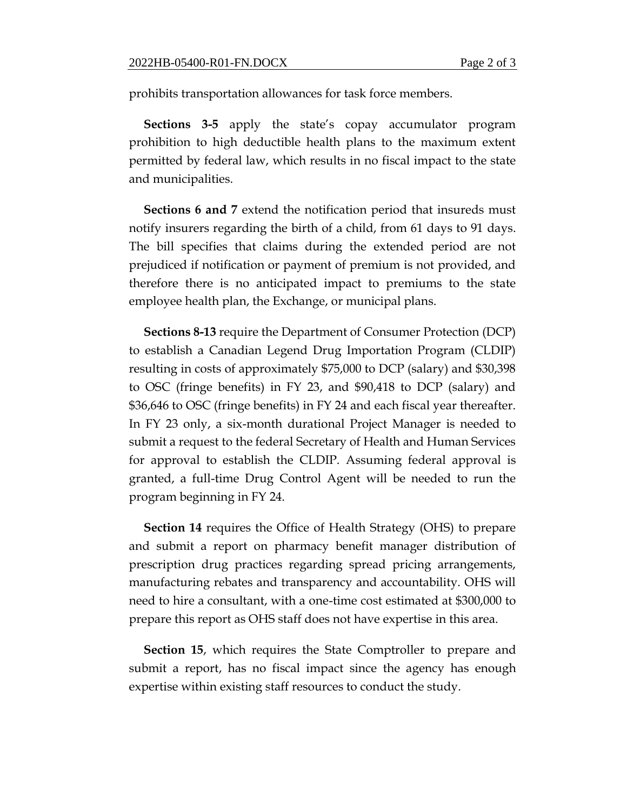prohibits transportation allowances for task force members.

**Sections 3-5** apply the state's copay accumulator program prohibition to high deductible health plans to the maximum extent permitted by federal law, which results in no fiscal impact to the state and municipalities.

**Sections 6 and 7** extend the notification period that insureds must notify insurers regarding the birth of a child, from 61 days to 91 days. The bill specifies that claims during the extended period are not prejudiced if notification or payment of premium is not provided, and therefore there is no anticipated impact to premiums to the state employee health plan, the Exchange, or municipal plans.

**Sections 8-13** require the Department of Consumer Protection (DCP) to establish a Canadian Legend Drug Importation Program (CLDIP) resulting in costs of approximately \$75,000 to DCP (salary) and \$30,398 to OSC (fringe benefits) in FY 23, and \$90,418 to DCP (salary) and \$36,646 to OSC (fringe benefits) in FY 24 and each fiscal year thereafter. In FY 23 only, a six-month durational Project Manager is needed to submit a request to the federal Secretary of Health and Human Services for approval to establish the CLDIP. Assuming federal approval is granted, a full-time Drug Control Agent will be needed to run the program beginning in FY 24.

**Section 14** requires the Office of Health Strategy (OHS) to prepare and submit a report on pharmacy benefit manager distribution of prescription drug practices regarding spread pricing arrangements, manufacturing rebates and transparency and accountability. OHS will need to hire a consultant, with a one-time cost estimated at \$300,000 to prepare this report as OHS staff does not have expertise in this area.

**Section 15**, which requires the State Comptroller to prepare and submit a report, has no fiscal impact since the agency has enough expertise within existing staff resources to conduct the study.